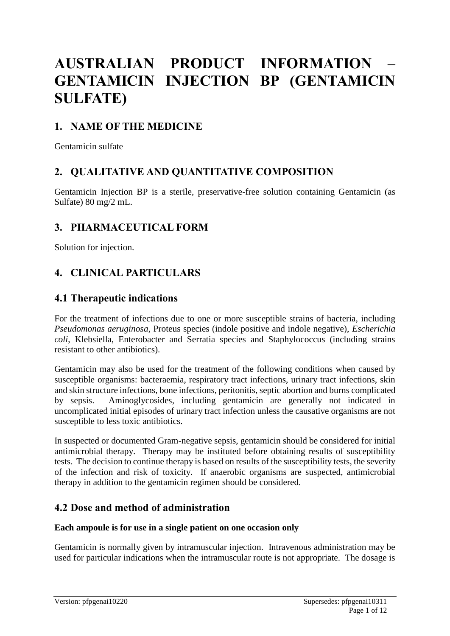# **AUSTRALIAN PRODUCT INFORMATION – GENTAMICIN INJECTION BP (GENTAMICIN SULFATE)**

# **1. NAME OF THE MEDICINE**

Gentamicin sulfate

# **2. QUALITATIVE AND QUANTITATIVE COMPOSITION**

Gentamicin Injection BP is a sterile, preservative-free solution containing Gentamicin (as Sulfate) 80 mg/2 mL.

# **3. PHARMACEUTICAL FORM**

Solution for injection.

# **4. CLINICAL PARTICULARS**

# **4.1 Therapeutic indications**

For the treatment of infections due to one or more susceptible strains of bacteria, including *Pseudomonas aeruginosa*, Proteus species (indole positive and indole negative), *Escherichia coli*, Klebsiella, Enterobacter and Serratia species and Staphylococcus (including strains resistant to other antibiotics).

Gentamicin may also be used for the treatment of the following conditions when caused by susceptible organisms: bacteraemia, respiratory tract infections, urinary tract infections, skin and skin structure infections, bone infections, peritonitis, septic abortion and burns complicated by sepsis. Aminoglycosides, including gentamicin are generally not indicated in uncomplicated initial episodes of urinary tract infection unless the causative organisms are not susceptible to less toxic antibiotics.

In suspected or documented Gram-negative sepsis, gentamicin should be considered for initial antimicrobial therapy. Therapy may be instituted before obtaining results of susceptibility tests. The decision to continue therapy is based on results of the susceptibility tests, the severity of the infection and risk of toxicity. If anaerobic organisms are suspected, antimicrobial therapy in addition to the gentamicin regimen should be considered.

# **4.2 Dose and method of administration**

### **Each ampoule is for use in a single patient on one occasion only**

Gentamicin is normally given by intramuscular injection. Intravenous administration may be used for particular indications when the intramuscular route is not appropriate. The dosage is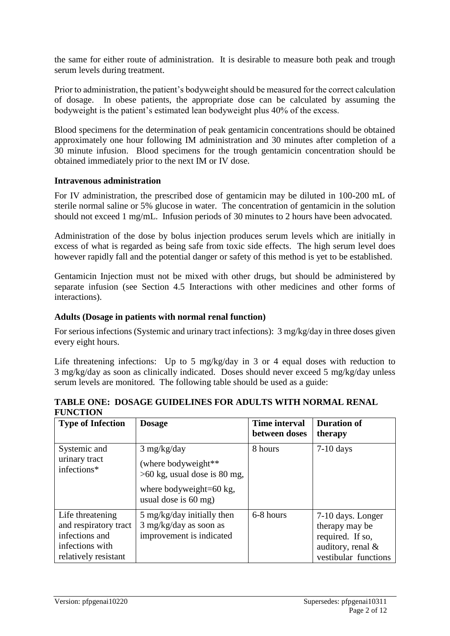the same for either route of administration. It is desirable to measure both peak and trough serum levels during treatment.

Prior to administration, the patient's bodyweight should be measured for the correct calculation of dosage. In obese patients, the appropriate dose can be calculated by assuming the bodyweight is the patient's estimated lean bodyweight plus 40% of the excess.

Blood specimens for the determination of peak gentamicin concentrations should be obtained approximately one hour following IM administration and 30 minutes after completion of a 30 minute infusion. Blood specimens for the trough gentamicin concentration should be obtained immediately prior to the next IM or IV dose.

#### **Intravenous administration**

For IV administration, the prescribed dose of gentamicin may be diluted in 100-200 mL of sterile normal saline or 5% glucose in water. The concentration of gentamicin in the solution should not exceed 1 mg/mL. Infusion periods of 30 minutes to 2 hours have been advocated.

Administration of the dose by bolus injection produces serum levels which are initially in excess of what is regarded as being safe from toxic side effects. The high serum level does however rapidly fall and the potential danger or safety of this method is yet to be established.

Gentamicin Injection must not be mixed with other drugs, but should be administered by separate infusion (see Section 4.5 Interactions with other medicines and other forms of interactions).

#### **Adults (Dosage in patients with normal renal function)**

For serious infections (Systemic and urinary tract infections): 3 mg/kg/day in three doses given every eight hours.

Life threatening infections: Up to 5 mg/kg/day in 3 or 4 equal doses with reduction to 3 mg/kg/day as soon as clinically indicated. Doses should never exceed 5 mg/kg/day unless serum levels are monitored. The following table should be used as a guide:

| <b>Type of Infection</b>                                                                               | <b>Dosage</b>                                                                                                                                    | <b>Time interval</b><br>between doses | <b>Duration of</b><br>therapy                                                                        |
|--------------------------------------------------------------------------------------------------------|--------------------------------------------------------------------------------------------------------------------------------------------------|---------------------------------------|------------------------------------------------------------------------------------------------------|
| Systemic and<br>urinary tract<br>infections*                                                           | $3$ mg/kg/day<br>(where bodyweight**<br>$>60$ kg, usual dose is 80 mg,<br>where bodyweight= $60 \text{ kg}$ ,<br>usual dose is $60 \text{ mg}$ ) | 8 hours                               | $7-10$ days                                                                                          |
| Life threatening<br>and respiratory tract<br>infections and<br>infections with<br>relatively resistant | $5 \text{ mg/kg/day}$ initially then<br>$3$ mg/kg/day as soon as<br>improvement is indicated                                                     | 6-8 hours                             | 7-10 days. Longer<br>therapy may be<br>required. If so,<br>auditory, renal &<br>vestibular functions |

### **TABLE ONE: DOSAGE GUIDELINES FOR ADULTS WITH NORMAL RENAL FUNCTION**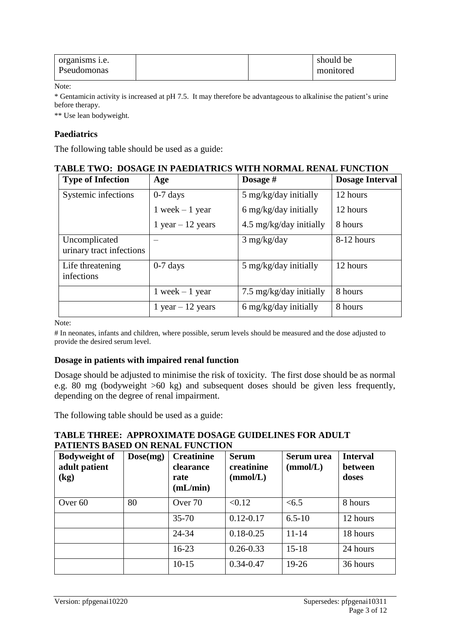| organisms <i>i.e.</i> |  | should be |
|-----------------------|--|-----------|
| Pseudomonas           |  | monitored |

Note:

\* Gentamicin activity is increased at pH 7.5. It may therefore be advantageous to alkalinise the patient's urine before therapy.

\*\* Use lean bodyweight.

#### **Paediatrics**

The following table should be used as a guide:

| <b>Type of Infection</b>                  | Age                | Dosage #                        | <b>Dosage Interval</b> |
|-------------------------------------------|--------------------|---------------------------------|------------------------|
| Systemic infections                       | $0-7$ days         | $5 \text{ mg/kg/day}$ initially | 12 hours               |
|                                           | $1$ week $-1$ year | 6 mg/kg/day initially           | 12 hours               |
|                                           | 1 year $-12$ years | 4.5 mg/kg/day initially         | 8 hours                |
| Uncomplicated<br>urinary tract infections |                    | $3 \text{ mg/kg/day}$           | 8-12 hours             |
| Life threatening<br>infections            | $0-7$ days         | 5 mg/kg/day initially           | 12 hours               |
|                                           | 1 week $-1$ year   | 7.5 mg/kg/day initially         | 8 hours                |
|                                           | 1 year $-12$ years | 6 mg/kg/day initially           | 8 hours                |

#### **TABLE TWO: DOSAGE IN PAEDIATRICS WITH NORMAL RENAL FUNCTION**

Note:

# In neonates, infants and children, where possible, serum levels should be measured and the dose adjusted to provide the desired serum level.

#### **Dosage in patients with impaired renal function**

Dosage should be adjusted to minimise the risk of toxicity. The first dose should be as normal e.g. 80 mg (bodyweight >60 kg) and subsequent doses should be given less frequently, depending on the degree of renal impairment.

The following table should be used as a guide:

#### **TABLE THREE: APPROXIMATE DOSAGE GUIDELINES FOR ADULT PATIENTS BASED ON RENAL FUNCTION**

| <b>Bodyweight of</b><br>adult patient<br>(kg) | Dose(mg) | <b>Creatinine</b><br>clearance<br>rate<br>mL/min | <b>Serum</b><br>creatinine<br>(mmol/L) | Serum urea<br>(mmol/L) | <b>Interval</b><br>between<br>doses |
|-----------------------------------------------|----------|--------------------------------------------------|----------------------------------------|------------------------|-------------------------------------|
| Over 60                                       | 80       | Over 70                                          | < 0.12                                 | <6.5                   | 8 hours                             |
|                                               |          | $35 - 70$                                        | $0.12 - 0.17$                          | $6.5 - 10$             | 12 hours                            |
|                                               |          | 24-34                                            | $0.18 - 0.25$                          | $11 - 14$              | 18 hours                            |
|                                               |          | $16-23$                                          | $0.26 - 0.33$                          | $15-18$                | 24 hours                            |
|                                               |          | $10-15$                                          | $0.34 - 0.47$                          | 19-26                  | 36 hours                            |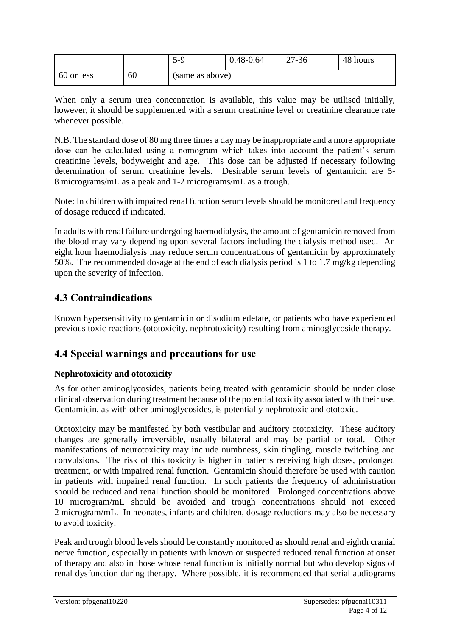|            |    | $5 - 0$         | $0.48 - 0.64$ | $27 - 36$ | 48 hours |
|------------|----|-----------------|---------------|-----------|----------|
| 60 or less | 60 | (same as above) |               |           |          |

When only a serum urea concentration is available, this value may be utilised initially, however, it should be supplemented with a serum creatinine level or creatinine clearance rate whenever possible.

N.B. The standard dose of 80 mg three times a day may be inappropriate and a more appropriate dose can be calculated using a nomogram which takes into account the patient's serum creatinine levels, bodyweight and age. This dose can be adjusted if necessary following determination of serum creatinine levels. Desirable serum levels of gentamicin are 5- 8 micrograms/mL as a peak and 1-2 micrograms/mL as a trough.

Note: In children with impaired renal function serum levels should be monitored and frequency of dosage reduced if indicated.

In adults with renal failure undergoing haemodialysis, the amount of gentamicin removed from the blood may vary depending upon several factors including the dialysis method used. An eight hour haemodialysis may reduce serum concentrations of gentamicin by approximately 50%. The recommended dosage at the end of each dialysis period is 1 to 1.7 mg/kg depending upon the severity of infection.

# **4.3 Contraindications**

Known hypersensitivity to gentamicin or disodium edetate, or patients who have experienced previous toxic reactions (ototoxicity, nephrotoxicity) resulting from aminoglycoside therapy.

# **4.4 Special warnings and precautions for use**

# **Nephrotoxicity and ototoxicity**

As for other aminoglycosides, patients being treated with gentamicin should be under close clinical observation during treatment because of the potential toxicity associated with their use. Gentamicin, as with other aminoglycosides, is potentially nephrotoxic and ototoxic.

Ototoxicity may be manifested by both vestibular and auditory ototoxicity. These auditory changes are generally irreversible, usually bilateral and may be partial or total. Other manifestations of neurotoxicity may include numbness, skin tingling, muscle twitching and convulsions. The risk of this toxicity is higher in patients receiving high doses, prolonged treatment, or with impaired renal function. Gentamicin should therefore be used with caution in patients with impaired renal function. In such patients the frequency of administration should be reduced and renal function should be monitored. Prolonged concentrations above 10 microgram/mL should be avoided and trough concentrations should not exceed 2 microgram/mL. In neonates, infants and children, dosage reductions may also be necessary to avoid toxicity.

Peak and trough blood levels should be constantly monitored as should renal and eighth cranial nerve function, especially in patients with known or suspected reduced renal function at onset of therapy and also in those whose renal function is initially normal but who develop signs of renal dysfunction during therapy. Where possible, it is recommended that serial audiograms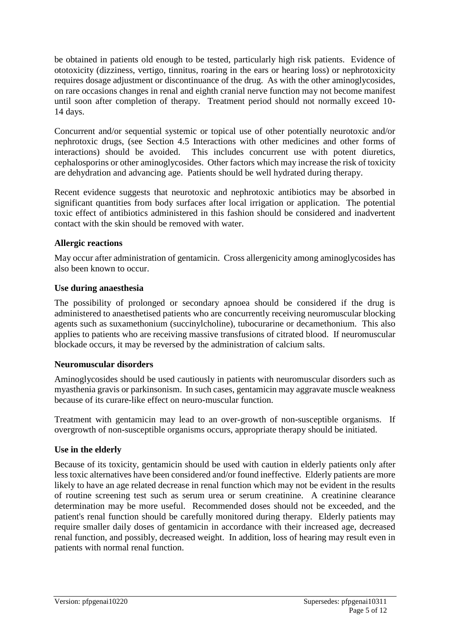be obtained in patients old enough to be tested, particularly high risk patients. Evidence of ototoxicity (dizziness, vertigo, tinnitus, roaring in the ears or hearing loss) or nephrotoxicity requires dosage adjustment or discontinuance of the drug. As with the other aminoglycosides, on rare occasions changes in renal and eighth cranial nerve function may not become manifest until soon after completion of therapy. Treatment period should not normally exceed 10- 14 days.

Concurrent and/or sequential systemic or topical use of other potentially neurotoxic and/or nephrotoxic drugs, (see Section 4.5 Interactions with other medicines and other forms of interactions) should be avoided. This includes concurrent use with potent diuretics, cephalosporins or other aminoglycosides. Other factors which may increase the risk of toxicity are dehydration and advancing age. Patients should be well hydrated during therapy.

Recent evidence suggests that neurotoxic and nephrotoxic antibiotics may be absorbed in significant quantities from body surfaces after local irrigation or application. The potential toxic effect of antibiotics administered in this fashion should be considered and inadvertent contact with the skin should be removed with water.

#### **Allergic reactions**

May occur after administration of gentamicin. Cross allergenicity among aminoglycosides has also been known to occur.

#### **Use during anaesthesia**

The possibility of prolonged or secondary apnoea should be considered if the drug is administered to anaesthetised patients who are concurrently receiving neuromuscular blocking agents such as suxamethonium (succinylcholine), tubocurarine or decamethonium. This also applies to patients who are receiving massive transfusions of citrated blood. If neuromuscular blockade occurs, it may be reversed by the administration of calcium salts.

### **Neuromuscular disorders**

Aminoglycosides should be used cautiously in patients with neuromuscular disorders such as myasthenia gravis or parkinsonism. In such cases, gentamicin may aggravate muscle weakness because of its curare-like effect on neuro-muscular function.

Treatment with gentamicin may lead to an over-growth of non-susceptible organisms. If overgrowth of non-susceptible organisms occurs, appropriate therapy should be initiated.

#### **Use in the elderly**

Because of its toxicity, gentamicin should be used with caution in elderly patients only after less toxic alternatives have been considered and/or found ineffective. Elderly patients are more likely to have an age related decrease in renal function which may not be evident in the results of routine screening test such as serum urea or serum creatinine. A creatinine clearance determination may be more useful. Recommended doses should not be exceeded, and the patient's renal function should be carefully monitored during therapy. Elderly patients may require smaller daily doses of gentamicin in accordance with their increased age, decreased renal function, and possibly, decreased weight. In addition, loss of hearing may result even in patients with normal renal function.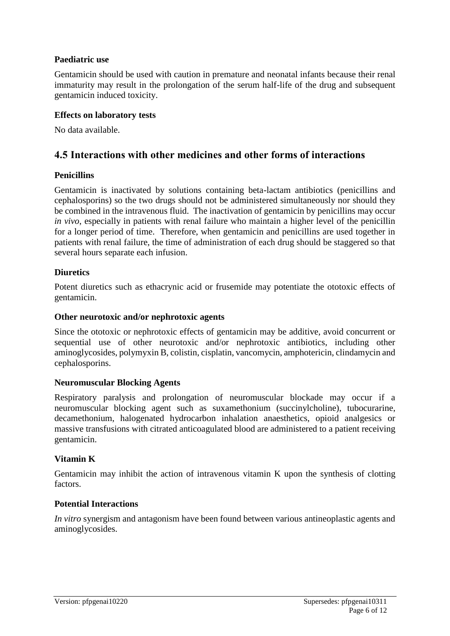#### **Paediatric use**

Gentamicin should be used with caution in premature and neonatal infants because their renal immaturity may result in the prolongation of the serum half-life of the drug and subsequent gentamicin induced toxicity.

#### **Effects on laboratory tests**

No data available.

# **4.5 Interactions with other medicines and other forms of interactions**

#### **Penicillins**

Gentamicin is inactivated by solutions containing beta-lactam antibiotics (penicillins and cephalosporins) so the two drugs should not be administered simultaneously nor should they be combined in the intravenous fluid. The inactivation of gentamicin by penicillins may occur *in vivo*, especially in patients with renal failure who maintain a higher level of the penicillin for a longer period of time. Therefore, when gentamicin and penicillins are used together in patients with renal failure, the time of administration of each drug should be staggered so that several hours separate each infusion.

#### **Diuretics**

Potent diuretics such as ethacrynic acid or frusemide may potentiate the ototoxic effects of gentamicin.

#### **Other neurotoxic and/or nephrotoxic agents**

Since the ototoxic or nephrotoxic effects of gentamicin may be additive, avoid concurrent or sequential use of other neurotoxic and/or nephrotoxic antibiotics, including other aminoglycosides, polymyxin B, colistin, cisplatin, vancomycin, amphotericin, clindamycin and cephalosporins.

#### **Neuromuscular Blocking Agents**

Respiratory paralysis and prolongation of neuromuscular blockade may occur if a neuromuscular blocking agent such as suxamethonium (succinylcholine), tubocurarine, decamethonium, halogenated hydrocarbon inhalation anaesthetics, opioid analgesics or massive transfusions with citrated anticoagulated blood are administered to a patient receiving gentamicin.

### **Vitamin K**

Gentamicin may inhibit the action of intravenous vitamin K upon the synthesis of clotting factors.

#### **Potential Interactions**

*In vitro* synergism and antagonism have been found between various antineoplastic agents and aminoglycosides.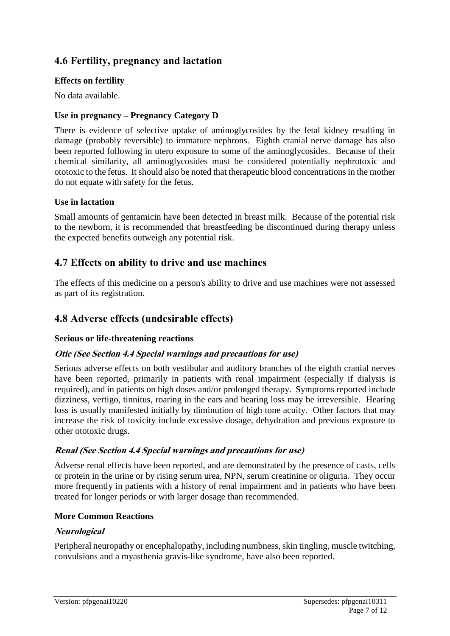# **4.6 Fertility, pregnancy and lactation**

#### **Effects on fertility**

No data available.

### **Use in pregnancy – Pregnancy Category D**

There is evidence of selective uptake of aminoglycosides by the fetal kidney resulting in damage (probably reversible) to immature nephrons. Eighth cranial nerve damage has also been reported following in utero exposure to some of the aminoglycosides. Because of their chemical similarity, all aminoglycosides must be considered potentially nephrotoxic and ototoxic to the fetus. It should also be noted that therapeutic blood concentrations in the mother do not equate with safety for the fetus.

### **Use in lactation**

Small amounts of gentamicin have been detected in breast milk. Because of the potential risk to the newborn, it is recommended that breastfeeding be discontinued during therapy unless the expected benefits outweigh any potential risk.

# **4.7 Effects on ability to drive and use machines**

The effects of this medicine on a person's ability to drive and use machines were not assessed as part of its registration.

# **4.8 Adverse effects (undesirable effects)**

### **Serious or life-threatening reactions**

### **Otic (See Section 4.4 Special warnings and precautions for use)**

Serious adverse effects on both vestibular and auditory branches of the eighth cranial nerves have been reported, primarily in patients with renal impairment (especially if dialysis is required), and in patients on high doses and/or prolonged therapy. Symptoms reported include dizziness, vertigo, tinnitus, roaring in the ears and hearing loss may be irreversible. Hearing loss is usually manifested initially by diminution of high tone acuity. Other factors that may increase the risk of toxicity include excessive dosage, dehydration and previous exposure to other ototoxic drugs.

### **Renal (See Section 4.4 Special warnings and precautions for use)**

Adverse renal effects have been reported, and are demonstrated by the presence of casts, cells or protein in the urine or by rising serum urea, NPN, serum creatinine or oliguria. They occur more frequently in patients with a history of renal impairment and in patients who have been treated for longer periods or with larger dosage than recommended.

#### **More Common Reactions**

### **Neurological**

Peripheral neuropathy or encephalopathy, including numbness, skin tingling, muscle twitching, convulsions and a myasthenia gravis-like syndrome, have also been reported.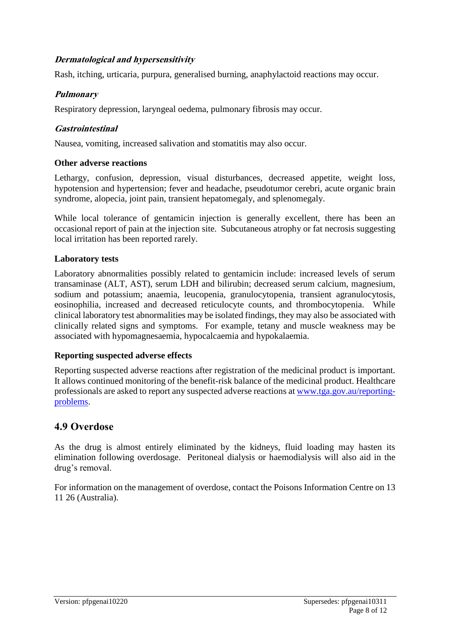### **Dermatological and hypersensitivity**

Rash, itching, urticaria, purpura, generalised burning, anaphylactoid reactions may occur.

#### **Pulmonary**

Respiratory depression, laryngeal oedema, pulmonary fibrosis may occur.

#### **Gastrointestinal**

Nausea, vomiting, increased salivation and stomatitis may also occur.

#### **Other adverse reactions**

Lethargy, confusion, depression, visual disturbances, decreased appetite, weight loss, hypotension and hypertension; fever and headache, pseudotumor cerebri, acute organic brain syndrome, alopecia, joint pain, transient hepatomegaly, and splenomegaly.

While local tolerance of gentamicin injection is generally excellent, there has been an occasional report of pain at the injection site. Subcutaneous atrophy or fat necrosis suggesting local irritation has been reported rarely.

#### **Laboratory tests**

Laboratory abnormalities possibly related to gentamicin include: increased levels of serum transaminase (ALT, AST), serum LDH and bilirubin; decreased serum calcium, magnesium, sodium and potassium; anaemia, leucopenia, granulocytopenia, transient agranulocytosis, eosinophilia, increased and decreased reticulocyte counts, and thrombocytopenia. While clinical laboratory test abnormalities may be isolated findings, they may also be associated with clinically related signs and symptoms. For example, tetany and muscle weakness may be associated with hypomagnesaemia, hypocalcaemia and hypokalaemia.

#### **Reporting suspected adverse effects**

Reporting suspected adverse reactions after registration of the medicinal product is important. It allows continued monitoring of the benefit-risk balance of the medicinal product. Healthcare professionals are asked to report any suspected adverse reactions at [www.tga.gov.au/reporting](http://www.tga.gov.au/reporting-problems)[problems.](http://www.tga.gov.au/reporting-problems)

### **4.9 Overdose**

As the drug is almost entirely eliminated by the kidneys, fluid loading may hasten its elimination following overdosage. Peritoneal dialysis or haemodialysis will also aid in the drug's removal.

For information on the management of overdose, contact the Poisons Information Centre on 13 11 26 (Australia).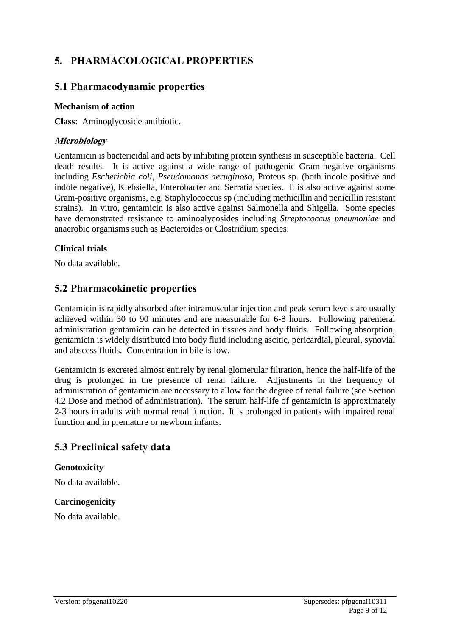# **5. PHARMACOLOGICAL PROPERTIES**

# **5.1 Pharmacodynamic properties**

#### **Mechanism of action**

**Class**: Aminoglycoside antibiotic.

### **Microbiology**

Gentamicin is bactericidal and acts by inhibiting protein synthesis in susceptible bacteria. Cell death results. It is active against a wide range of pathogenic Gram-negative organisms including *Escherichia coli*, *Pseudomonas aeruginosa*, Proteus sp. (both indole positive and indole negative), Klebsiella, Enterobacter and Serratia species. It is also active against some Gram-positive organisms, e.g. Staphylococcus sp (including methicillin and penicillin resistant strains). In vitro, gentamicin is also active against Salmonella and Shigella. Some species have demonstrated resistance to aminoglycosides including *Streptococcus pneumoniae* and anaerobic organisms such as Bacteroides or Clostridium species.

### **Clinical trials**

No data available.

# **5.2 Pharmacokinetic properties**

Gentamicin is rapidly absorbed after intramuscular injection and peak serum levels are usually achieved within 30 to 90 minutes and are measurable for 6-8 hours. Following parenteral administration gentamicin can be detected in tissues and body fluids. Following absorption, gentamicin is widely distributed into body fluid including ascitic, pericardial, pleural, synovial and abscess fluids. Concentration in bile is low.

Gentamicin is excreted almost entirely by renal glomerular filtration, hence the half-life of the drug is prolonged in the presence of renal failure. Adjustments in the frequency of administration of gentamicin are necessary to allow for the degree of renal failure (see Section 4.2 Dose and method of administration). The serum half-life of gentamicin is approximately 2-3 hours in adults with normal renal function. It is prolonged in patients with impaired renal function and in premature or newborn infants.

# **5.3 Preclinical safety data**

### **Genotoxicity**

No data available.

#### **Carcinogenicity**

No data available.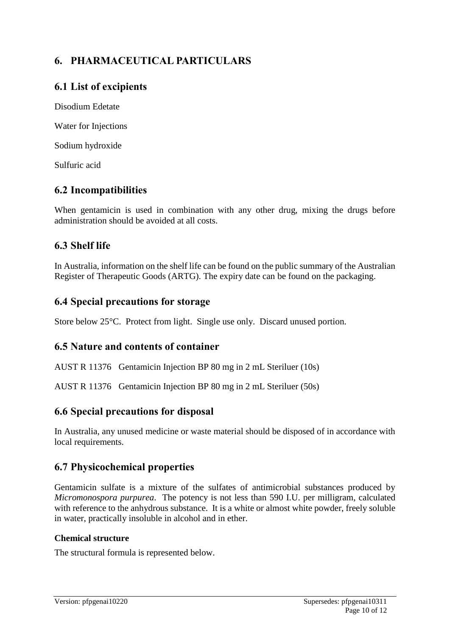# **6. PHARMACEUTICAL PARTICULARS**

# **6.1 List of excipients**

Disodium Edetate

Water for Injections

Sodium hydroxide

Sulfuric acid

# **6.2 Incompatibilities**

When gentamicin is used in combination with any other drug, mixing the drugs before administration should be avoided at all costs.

# **6.3 Shelf life**

In Australia, information on the shelf life can be found on the public summary of the Australian Register of Therapeutic Goods (ARTG). The expiry date can be found on the packaging.

# **6.4 Special precautions for storage**

Store below 25°C. Protect from light. Single use only. Discard unused portion.

# **6.5 Nature and contents of container**

AUST R 11376 Gentamicin Injection BP 80 mg in 2 mL Steriluer (10s)

AUST R 11376 Gentamicin Injection BP 80 mg in 2 mL Steriluer (50s)

# **6.6 Special precautions for disposal**

In Australia, any unused medicine or waste material should be disposed of in accordance with local requirements.

# **6.7 Physicochemical properties**

Gentamicin sulfate is a mixture of the sulfates of antimicrobial substances produced by *Micromonospora purpurea*. The potency is not less than 590 I.U. per milligram, calculated with reference to the anhydrous substance. It is a white or almost white powder, freely soluble in water, practically insoluble in alcohol and in ether.

### **Chemical structure**

The structural formula is represented below.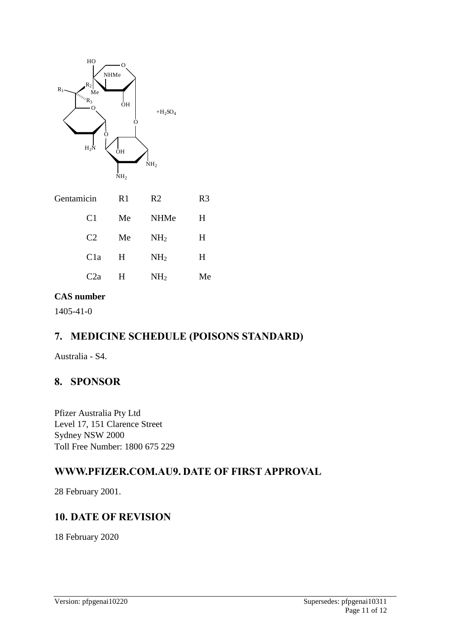

| Gentamicin       | R <sub>1</sub> | R <sub>2</sub>  | R3 |
|------------------|----------------|-----------------|----|
| C <sub>1</sub>   | Me             | <b>NHMe</b>     | H  |
| C <sub>2</sub>   | Me             | NH <sub>2</sub> | H  |
| C1a              | H              | NH <sub>2</sub> | H  |
| C <sub>2</sub> a | H              | NH <sub>2</sub> | Me |

### **CAS number**

1405-41-0

# **7. MEDICINE SCHEDULE (POISONS STANDARD)**

Australia - S4.

# **8. SPONSOR**

Pfizer Australia Pty Ltd Level 17, 151 Clarence Street Sydney NSW 2000 Toll Free Number: 1800 675 229

# **WWW.PFIZER.COM.AU9. DATE OF FIRST APPROVAL**

28 February 2001.

# **10. DATE OF REVISION**

18 February 2020